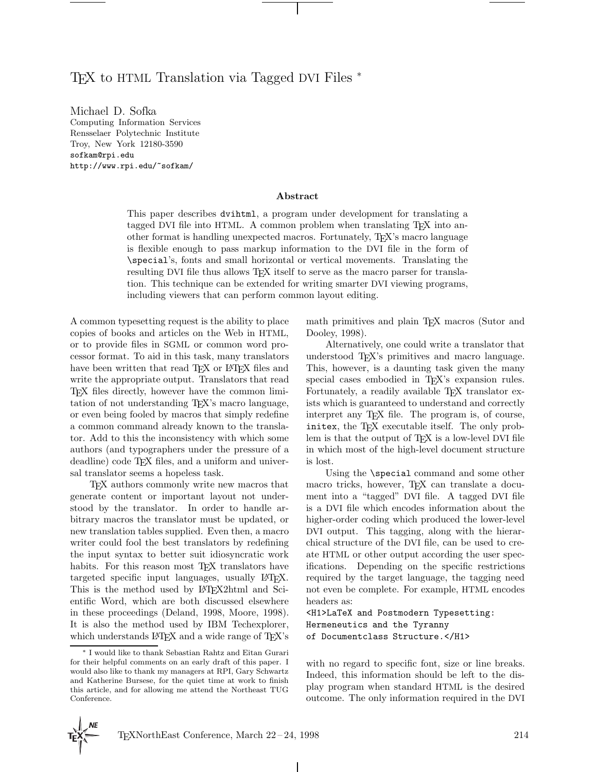# T<sub>F</sub>X to HTML Translation via Tagged DVI Files <sup>∗</sup>

Michael D. Sofka Computing Information Services Rensselaer Polytechnic Institute Troy, New York 12180-3590 sofkam@rpi.edu http://www.rpi.edu/~sofkam/

### **Abstract**

This paper describes dvihtml, a program under development for translating a tagged DVI file into HTML. A common problem when translating TEX into another format is handling unexpected macros. Fortunately, TEX's macro language is flexible enough to pass markup information to the DVI file in the form of \special's, fonts and small horizontal or vertical movements. Translating the resulting DVI file thus allows T<sub>EX</sub> itself to serve as the macro parser for translation. This technique can be extended for writing smarter DVI viewing programs, including viewers that can perform common layout editing.

A common typesetting request is the ability to place copies of books and articles on the Web in HTML, or to provide files in SGML or common word processor format. To aid in this task, many translators have been written that read TEX or LATEX files and write the appropriate output. Translators that read TEX files directly, however have the common limitation of not understanding TEX's macro language, or even being fooled by macros that simply redefine a common command already known to the translator. Add to this the inconsistency with which some authors (and typographers under the pressure of a deadline) code T<sub>E</sub>X files, and a uniform and universal translator seems a hopeless task.

TEX authors commonly write new macros that generate content or important layout not understood by the translator. In order to handle arbitrary macros the translator must be updated, or new translation tables supplied. Even then, a macro writer could fool the best translators by redefining the input syntax to better suit idiosyncratic work habits. For this reason most T<sub>E</sub>X translators have targeted specific input languages, usually LATEX. This is the method used by LAT<sub>E</sub>X2html and Scientific Word, which are both discussed elsewhere in these proceedings (Deland, 1998, Moore, 1998). It is also the method used by IBM Techexplorer, which understands L<sup>AT</sup>EX and a wide range of TEX's math primitives and plain TEX macros (Sutor and Dooley, 1998).

Alternatively, one could write a translator that understood T<sub>EX</sub>'s primitives and macro language. This, however, is a daunting task given the many special cases embodied in T<sub>EX</sub>'s expansion rules. Fortunately, a readily available T<sub>E</sub>X translator exists which is guaranteed to understand and correctly interpret any T<sub>EX</sub> file. The program is, of course, initex, the TFX executable itself. The only problem is that the output of TEX is a low-level DVI file in which most of the high-level document structure is lost.

Using the \special command and some other macro tricks, however, TEX can translate a document into a "tagged" DVI file. A tagged DVI file is a DVI file which encodes information about the higher-order coding which produced the lower-level DVI output. This tagging, along with the hierarchical structure of the DVI file, can be used to create HTML or other output according the user specifications. Depending on the specific restrictions required by the target language, the tagging need not even be complete. For example, HTML encodes headers as:

<H1>LaTeX and Postmodern Typesetting: Hermeneutics and the Tyranny of Documentclass Structure.</H1>

with no regard to specific font, size or line breaks. Indeed, this information should be left to the display program when standard HTML is the desired outcome. The only information required in the DVI

 $\mathbf{I}$ 

<sup>∗</sup> I would like to thank Sebastian Rahtz and Eitan Gurari for their helpful comments on an early draft of this paper. I would also like to thank my managers at RPI, Gary Schwartz and Katherine Bursese, for the quiet time at work to finish this article, and for allowing me attend the Northeast TUG Conference.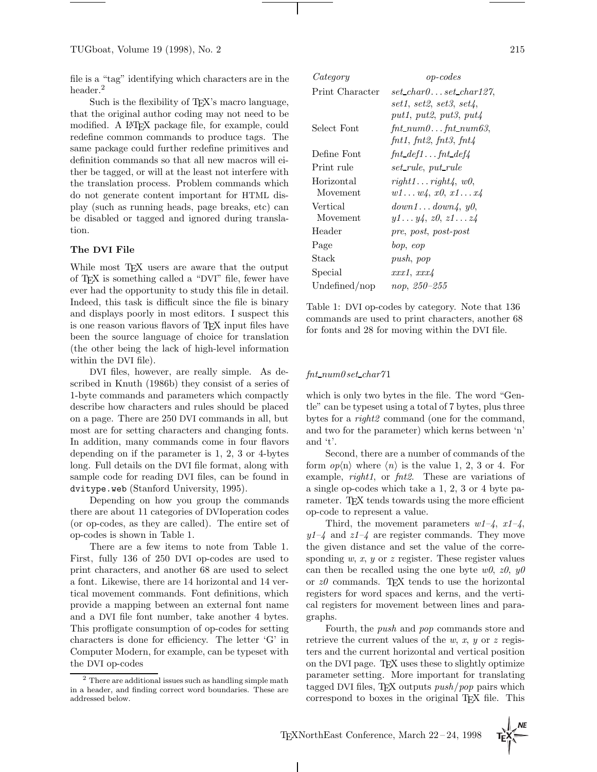file is a "tag" identifying which characters are in the header.<sup>2</sup>

Such is the flexibility of T<sub>EX</sub>'s macro language, that the original author coding may not need to be modified. A LAT<sub>F</sub>X package file, for example, could redefine common commands to produce tags. The same package could further redefine primitives and definition commands so that all new macros will either be tagged, or will at the least not interfere with the translation process. Problem commands which do not generate content important for HTML display (such as running heads, page breaks, etc) can be disabled or tagged and ignored during translation.

#### **The DVI File**

While most T<sub>F</sub>X users are aware that the output of TEX is something called a "DVI" file, fewer have ever had the opportunity to study this file in detail. Indeed, this task is difficult since the file is binary and displays poorly in most editors. I suspect this is one reason various flavors of TEX input files have been the source language of choice for translation (the other being the lack of high-level information within the DVI file).

DVI files, however, are really simple. As described in Knuth (1986b) they consist of a series of 1-byte commands and parameters which compactly describe how characters and rules should be placed on a page. There are 250 DVI commands in all, but most are for setting characters and changing fonts. In addition, many commands come in four flavors depending on if the parameter is 1, 2, 3 or 4-bytes long. Full details on the DVI file format, along with sample code for reading DVI files, can be found in dvitype.web (Stanford University, 1995).

Depending on how you group the commands there are about 11 categories of DVIoperation codes (or op-codes, as they are called). The entire set of op-codes is shown in Table 1.

There are a few items to note from Table 1. First, fully 136 of 250 DVI op-codes are used to print characters, and another 68 are used to select a font. Likewise, there are 14 horizontal and 14 vertical movement commands. Font definitions, which provide a mapping between an external font name and a DVI file font number, take another 4 bytes. This profligate consumption of op-codes for setting characters is done for efficiency. The letter 'G' in Computer Modern, for example, can be typeset with the DVI op-codes

| Category        | $op-codes$                             |
|-----------------|----------------------------------------|
| Print Character | $set\_char0set\_char127$               |
|                 | set1.~set2.~set3.~set4.                |
|                 | put1, put2, put3, put4                 |
| Select Font     | $fnt_numberfnt_number3,$               |
|                 | fnt1, fnt2, fnt3, fnt4                 |
| Define Font     | $fnt\_def1 \dots fnt\_def4$            |
| Print rule      | set_rule, put_rule                     |
| Horizontal      | $right1 \dots right4 \dots w0$         |
| Movement        | $w1 \ldots w4$ , $x0$ , $x1 \ldots x4$ |
| Vertical        | down1down4, y0,                        |
| Movement        | $y1 \ldots y4$ , $z0$ , $z1 \ldots z4$ |
| Header          | pre, post, post-post                   |
| Page            | bop, eop                               |
| Stack           | push, pop                              |
| Special         | xxx1, xx24                             |
| Undefined/nop   | nop, 250-255                           |

Table 1: DVI op-codes by category. Note that 136 commands are used to print characters, another 68 for fonts and 28 for moving within the DVI file.

#### fnt num0 set char71

which is only two bytes in the file. The word "Gentle" can be typeset using a total of 7 bytes, plus three bytes for a *right2* command (one for the command, and two for the parameter) which kerns between 'n' and 't'.

Second, there are a number of commands of the form  $op\langle n\rangle$  where  $\langle n\rangle$  is the value 1, 2, 3 or 4. For example,  $right1$ , or  $fnt2$ . These are variations of a single op-codes which take a 1, 2, 3 or 4 byte parameter. T<sub>F</sub>X tends towards using the more efficient op-code to represent a value.

Third, the movement parameters  $w1-\frac{1}{4}$ ,  $x1-\frac{1}{4}$ ,  $y1-\xi$  and  $z1-\xi$  are register commands. They move the given distance and set the value of the corresponding  $w, x, y$  or z register. These register values can then be recalled using the one byte  $w\theta$ ,  $z\theta$ ,  $y\theta$ or  $z\theta$  commands. T<sub>EX</sub> tends to use the horizontal registers for word spaces and kerns, and the vertical registers for movement between lines and paragraphs.

Fourth, the push and pop commands store and retrieve the current values of the w, x, y or z registers and the current horizontal and vertical position on the DVI page. TEX uses these to slightly optimize parameter setting. More important for translating tagged DVI files, T<sub>F</sub>X outputs  $push/pop$  pairs which correspond to boxes in the original T<sub>E</sub>X file. This

 $2$  There are additional issues such as handling simple math in a header, and finding correct word boundaries. These are addressed below.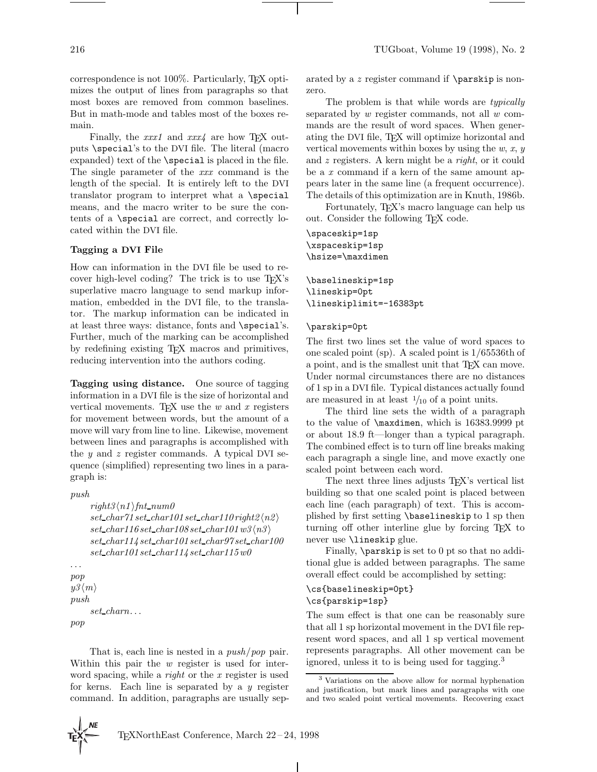correspondence is not 100%. Particularly, TEX optimizes the output of lines from paragraphs so that most boxes are removed from common baselines. But in math-mode and tables most of the boxes remain.

Finally, the  $xxx1$  and  $xxx4$  are how T<sub>E</sub>X outputs \special's to the DVI file. The literal (macro expanded) text of the \special is placed in the file. The single parameter of the xxx command is the length of the special. It is entirely left to the DVI translator program to interpret what a \special means, and the macro writer to be sure the contents of a \special are correct, and correctly located within the DVI file.

## **Tagging a DVI File**

How can information in the DVI file be used to recover high-level coding? The trick is to use TEX's superlative macro language to send markup information, embedded in the DVI file, to the translator. The markup information can be indicated in at least three ways: distance, fonts and \special's. Further, much of the marking can be accomplished by redefining existing TEX macros and primitives, reducing intervention into the authors coding.

**Tagging using distance.** One source of tagging information in a DVI file is the size of horizontal and vertical movements. TEX use the  $w$  and  $x$  registers for movement between words, but the amount of a move will vary from line to line. Likewise, movement between lines and paragraphs is accomplished with the  $y$  and  $z$  register commands. A typical DVI sequence (simplified) representing two lines in a paragraph is:

#### push

 $right3\langle n1 \rangle int$ -num $0$  $set_{char71 set_{char101 set_{char110} right2\langle n2\rangle}$  $set_{char116 set_{char108 set_{char101} w3\langle n3\rangle}$ set char114 set char101 set char97 set char100 set char101 set char114 set char115w0

```
...
pop
y3\langle m\ranglepush
      set charn...
pop
```
That is, each line is nested in a *push/pop* pair. Within this pair the w register is used for interword spacing, while a *right* or the  $x$  register is used for kerns. Each line is separated by a  $y$  register command. In addition, paragraphs are usually sep-

arated by a z register command if \parskip is nonzero.

The problem is that while words are *typically* separated by w register commands, not all w commands are the result of word spaces. When generating the DVI file, TEX will optimize horizontal and vertical movements within boxes by using the  $w, x, y$ and z registers. A kern might be a right, or it could be a x command if a kern of the same amount appears later in the same line (a frequent occurrence). The details of this optimization are in Knuth, 1986b.

Fortunately, T<sub>EX</sub>'s macro language can help us out. Consider the following TEX code.

\spaceskip=1sp \xspaceskip=1sp \hsize=\maxdimen

\baselineskip=1sp \lineskip=0pt \lineskiplimit=-16383pt

## \parskip=0pt

The first two lines set the value of word spaces to one scaled point (sp). A scaled point is 1/65536th of a point, and is the smallest unit that T<sub>E</sub>X can move. Under normal circumstances there are no distances of 1 sp in a DVI file. Typical distances actually found are measured in at least  $\frac{1}{10}$  of a point units.

The third line sets the width of a paragraph to the value of \maxdimen, which is 16383.9999 pt or about 18.9 ft—longer than a typical paragraph. The combined effect is to turn off line breaks making each paragraph a single line, and move exactly one scaled point between each word.

The next three lines adjusts T<sub>EX</sub>'s vertical list building so that one scaled point is placed between each line (each paragraph) of text. This is accomplished by first setting \baselineskip to 1 sp then turning off other interline glue by forcing TEX to never use \lineskip glue.

Finally, \parskip is set to 0 pt so that no additional glue is added between paragraphs. The same overall effect could be accomplished by setting:

## \cs{baselineskip=0pt} \cs{parskip=1sp}

The sum effect is that one can be reasonably sure that all 1 sp horizontal movement in the DVI file represent word spaces, and all 1 sp vertical movement represents paragraphs. All other movement can be ignored, unless it to is being used for tagging.<sup>3</sup>

 $\mathbf{I}$ 

<sup>3</sup> Variations on the above allow for normal hyphenation and justification, but mark lines and paragraphs with one and two scaled point vertical movements. Recovering exact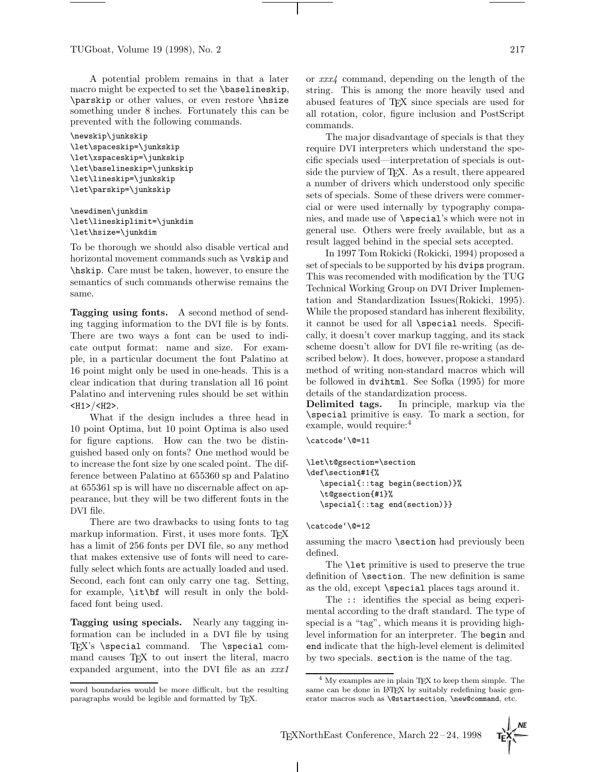TUGboat, Volume 19 (1998), No. 2 217

A potential problem remains in that a later macro might be expected to set the \baselineskip, \parskip or other values, or even restore \hsize something under 8 inches. Fortunately this can be prevented with the following commands.

```
\newskip\junkskip
\let\spaceskip=\junkskip
\let\xspaceskip=\junkskip
\let\baselineskip=\junkskip
\let\lineskip=\junkskip
\let\parskip=\junkskip
```

```
\newdimen\junkdim
\let\lineskiplimit=\junkdim
\let\hsize=\junkdim
```
To be thorough we should also disable vertical and horizontal movement commands such as \vskip and \hskip. Care must be taken, however, to ensure the semantics of such commands otherwise remains the same.

**Tagging using fonts.** A second method of sending tagging information to the DVI file is by fonts. There are two ways a font can be used to indicate output format: name and size. For example, in a particular document the font Palatino at 16 point might only be used in one-heads. This is a clear indication that during translation all 16 point Palatino and intervening rules should be set within  $$\text{H1}>$/$$H2$$ .

What if the design includes a three head in 10 point Optima, but 10 point Optima is also used for figure captions. How can the two be distinguished based only on fonts? One method would be to increase the font size by one scaled point. The difference between Palatino at 655360 sp and Palatino at 655361 sp is will have no discernable affect on appearance, but they will be two different fonts in the DVI file.

There are two drawbacks to using fonts to tag markup information. First, it uses more fonts. TEX has a limit of 256 fonts per DVI file, so any method that makes extensive use of fonts will need to carefully select which fonts are actually loaded and used. Second, each font can only carry one tag. Setting, for example, \it\bf will result in only the boldfaced font being used.

**Tagging using specials.** Nearly any tagging information can be included in a DVI file by using TEX's \special command. The \special command causes T<sub>EX</sub> to out insert the literal, macro expanded argument, into the DVI file as an  $xxx1$ 

or xxx4 command, depending on the length of the string. This is among the more heavily used and abused features of TEX since specials are used for all rotation, color, figure inclusion and PostScript commands.

The major disadvantage of specials is that they require DVI interpreters which understand the specific specials used—interpretation of specials is outside the purview of T<sub>E</sub>X. As a result, there appeared a number of drivers which understood only specific sets of specials. Some of these drivers were commercial or were used internally by typography companies, and made use of \special's which were not in general use. Others were freely available, but as a result lagged behind in the special sets accepted.

In 1997 Tom Rokicki (Rokicki, 1994) proposed a set of specials to be supported by his dvips program. This was recomended with modification by the TUG Technical Working Group on DVI Driver Implementation and Standardization Issues(Rokicki, 1995). While the proposed standard has inherent flexibility, it cannot be used for all \special needs. Specifically, it doesn't cover markup tagging, and its stack scheme doesn't allow for DVI file re-writing (as described below). It does, however, propose a standard method of writing non-standard macros which will be followed in dvihtml. See Sofka (1995) for more details of the standardization process.

**Delimited tags.** In principle, markup via the \special primitive is easy. To mark a section, for example, would require:<sup>4</sup>

\catcode'\@=11

```
\let\t@gsection=\section
\def\section#1{%
   \special{::tag begin(section)}%
   \t@gsection{#1}%
   \special{::tag end(section)}}
```
\catcode'\@=12

assuming the macro \section had previously been defined.

The **\let** primitive is used to preserve the true definition of \section. The new definition is same as the old, except \special places tags around it.

The :: identifies the special as being experimental according to the draft standard. The type of special is a "tag", which means it is providing highlevel information for an interpreter. The begin and end indicate that the high-level element is delimited by two specials. section is the name of the tag.

word boundaries would be more difficult, but the resulting paragraphs would be legible and formatted by TEX.

<sup>4</sup> My examples are in plain TEX to keep them simple. The same can be done in LAT<sub>EX</sub> by suitably redefining basic generator macros such as \@startsection, \new@command, etc.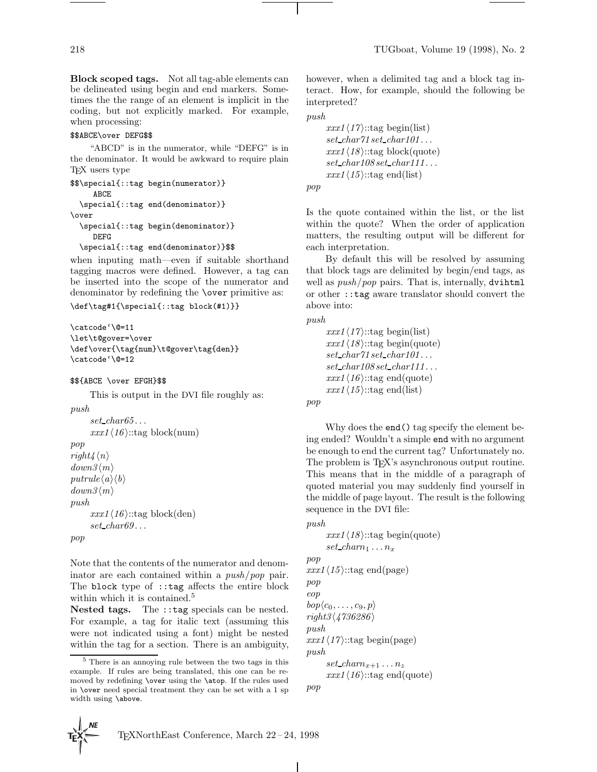**Block scoped tags.** Not all tag-able elements can be delineated using begin and end markers. Sometimes the the range of an element is implicit in the coding, but not explicitly marked. For example, when processing:

#### \$\$ABCE\over DEFG\$\$

"ABCD" is in the numerator, while "DEFG" is in the denominator. It would be awkward to require plain TEX users type

```
$$\special{::tag begin(numerator)}
     ABCE
  \special{::tag end(denominator)}
\over
  \special{::tag begin(denominator)}
     DEFG
```
\special{::tag end(denominator)}\$\$

when inputing math—even if suitable shorthand tagging macros were defined. However, a tag can be inserted into the scope of the numerator and denominator by redefining the \over primitive as:

```
\def\tag#1{\special{::tag block(#1)}}
```

```
\catcode'\@=11
\let\t@gover=\over
\def\over{\tag{num}\t@gover\tag{den}}
\catcode'\@=12
```
#### \$\${ABCE \over EFGH}\$\$

This is output in the DVI file roughly as:

```
push
```

```
set\_char65...xxx1\langle 16 \rangle::tag block(num)
pop
right4\langle n\rangledown3 \langle m \rangleputrule\langle a\rangle\langle b\rangledown3\langle m\ranglepush
        xxx1\langle 16 \rangle::tag block(den)
        set_{char69...}pop
```
Note that the contents of the numerator and denominator are each contained within a push/pop pair. The block type of ::tag affects the entire block within which it is contained.<sup>5</sup>

**Nested tags.** The ::tag specials can be nested. For example, a tag for italic text (assuming this were not indicated using a font) might be nested within the tag for a section. There is an ambiguity, however, when a delimited tag and a block tag interact. How, for example, should the following be interpreted?

push

pop

```
xxx1\langle17\rangle::tag begin(list)
set\_char71\,set\_char101\ldotsxxx1(18)::tag block(quote)
set\_char108 set\_char111...xxx1\langle 15 \rangle::tag end(list)
```
Is the quote contained within the list, or the list within the quote? When the order of application matters, the resulting output will be different for each interpretation.

By default this will be resolved by assuming that block tags are delimited by begin/end tags, as well as  $push/pop$  pairs. That is, internally, dvihtml or other ::tag aware translator should convert the above into:

push

```
xxx1\langle17\rangle::tag begin(list)
xxx1\langle 18 \rangle::tag begin(quote)
set\_char71 set\_char101...set\_char108 set\_char111...xxx1(16)::tag end(quote)
xxx1\langle 15 \rangle::tag end(list)
```

```
pop
```
Why does the end() tag specify the element being ended? Wouldn't a simple end with no argument be enough to end the current tag? Unfortunately no. The problem is T<sub>F</sub>X's asynchronous output routine. This means that in the middle of a paragraph of quoted material you may suddenly find yourself in the middle of page layout. The result is the following sequence in the DVI file:

```
push
```

```
xxx1(18)::tag begin(quote)
      set\_charm_1 \ldots n_xpop
xxx1\langle15\rangle::tag end(page)
pop
eop
bop\langle c_0,\ldots,c_9, p\rangleright3\langle 4736286\ranglepush
xxx1\langle17\rangle::tag begin(page)
push
      set cham_{x+1} \ldots n_zxxx1\langle 16 \rangle::tag end(quote)
pop
```
 $\overline{1}$ 



<sup>5</sup> There is an annoying rule between the two tags in this example. If rules are being translated, this one can be removed by redefining \over using the \atop. If the rules used in \over need special treatment they can be set with a 1 sp width using \above.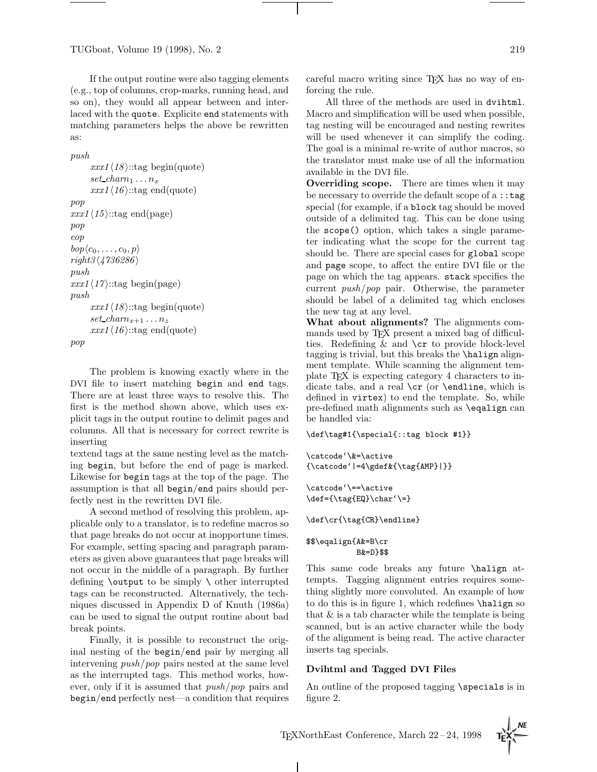TUGboat, Volume 19 (1998), No. 2 219

If the output routine were also tagging elements (e.g., top of columns, crop-marks, running head, and so on), they would all appear between and interlaced with the quote. Explicite end statements with matching parameters helps the above be rewritten as:

```
push
```

```
xxx1(18):tag begin(quote)
      set charm_1 \ldots n_xxxx1\langle 16 \rangle::tag end(quote)
pop
xxx1\langle 15 \rangle::tag end(page)
pop
eop
bop(c_0,\ldots,c_9, p)right3\langle 4736286\ranglepush
xxx1\langle17\rangle::tag begin(page)
push
      xxx1\langle 18 \rangle::tag begin(quote)
      set cham_{x+1} \ldots n_zxxx1\langle 16 \rangle::tag end(quote)
pop
```
The problem is knowing exactly where in the DVI file to insert matching begin and end tags. There are at least three ways to resolve this. The first is the method shown above, which uses explicit tags in the output routine to delimit pages and columns. All that is necessary for correct rewrite is inserting

textend tags at the same nesting level as the matching begin, but before the end of page is marked. Likewise for begin tags at the top of the page. The assumption is that all begin/end pairs should perfectly nest in the rewritten DVI file.

A second method of resolving this problem, applicable only to a translator, is to redefine macros so that page breaks do not occur at inopportune times. For example, setting spacing and paragraph parameters as given above guarantees that page breaks will not occur in the middle of a paragraph. By further defining **\output** to be simply  $\setminus$  other interrupted tags can be reconstructed. Alternatively, the techniques discussed in Appendix D of Knuth (1986a) can be used to signal the output routine about bad break points.

Finally, it is possible to reconstruct the original nesting of the begin/end pair by merging all intervening push/pop pairs nested at the same level as the interrupted tags. This method works, however, only if it is assumed that push/pop pairs and begin/end perfectly nest—a condition that requires careful macro writing since TEX has no way of enforcing the rule.

All three of the methods are used in dvihtml. Macro and simplification will be used when possible, tag nesting will be encouraged and nesting rewrites will be used whenever it can simplify the coding. The goal is a minimal re-write of author macros, so the translator must make use of all the information available in the DVI file.

**Overriding scope.** There are times when it may be necessary to override the default scope of a :: tag special (for example, if a block tag should be moved outside of a delimited tag. This can be done using the scope() option, which takes a single parameter indicating what the scope for the current tag should be. There are special cases for global scope and page scope, to affect the entire DVI file or the page on which the tag appears. stack specifies the current push/pop pair. Otherwise, the parameter should be label of a delimited tag which encloses the new tag at any level.

**What about alignments?** The alignments commands used by T<sub>E</sub>X present a mixed bag of difficulties. Redefining & and \cr to provide block-level tagging is trivial, but this breaks the \halign alignment template. While scanning the alignment template TEX is expecting category 4 characters to indicate tabs, and a real  $\cr$  (or  $\end{array}$ ) endline, which is defined in virtex) to end the template. So, while pre-defined math alignments such as \eqalign can be handled via:

```
\def\tag#1{\special{::tag block #1}}
```

```
\catcode'\&=\active
{\label{label:3} $${ \catcode' \:=\qdef \t\tag{AMP}}| }\}
```
\catcode'\==\active \def={\tag{EQ}\char'\=}

```
\def\cr{\tag{CR}\endline}
```
#### \$\$\eqalign{A&=B\cr B&=D}\$\$

This same code breaks any future \halign attempts. Tagging alignment entries requires something slightly more convoluted. An example of how to do this is in figure 1, which redefines \halign so that  $\&$  is a tab character while the template is being scanned, but is an active character while the body of the alignment is being read. The active character inserts tag specials.

# **Dvihtml and Tagged DVI Files**

An outline of the proposed tagging \specials is in figure 2.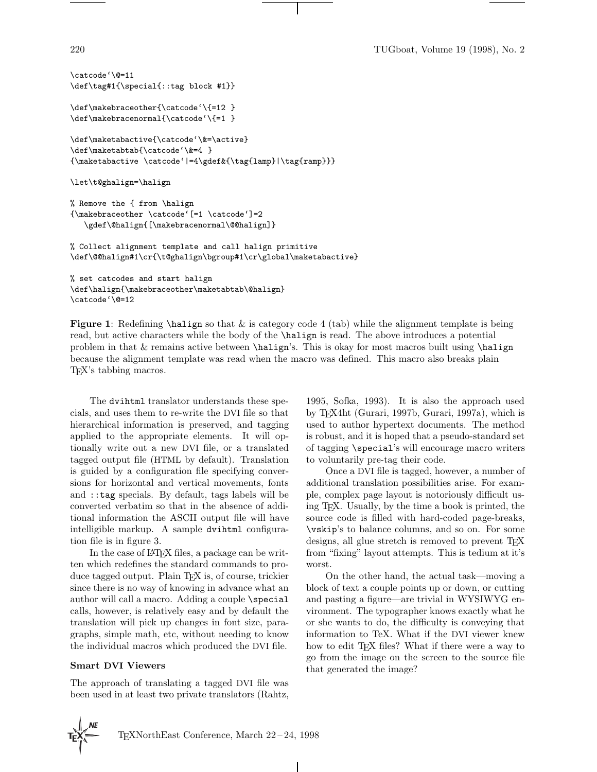220 TUGboat, Volume 19 (1998), No. 2

```
\catcode'\@=11
\def\tag#1{\special{::tag block #1}}
\def\makebraceother{\catcode'\{=12 }
\def\makebracenormal{\catcode'\{=1 }
\def\maketabactive{\catcode'\&=\active}
\def\maketabtab{\catcode'\&=4 }
{\maketabactive \catcode'|=4\gdef&{\tag{lamp}|\tag{ramp}}}
\let\t@ghalign=\halign
% Remove the { from \halign
{\makebraceother \catcode'[=1 \catcode']=2
   \gdef\@halign{[\makebracenormal\@@halign]}
```
% Collect alignment template and call halign primitive \def\@@halign#1\cr{\t@ghalign\bgroup#1\cr\global\maketabactive}

```
% set catcodes and start halign
\def\halign{\makebraceother\maketabtab\@halign}
\catcode'\@=12
```
**Figure 1**: Redefining **\halign** so that & is category code 4 (tab) while the alignment template is being read, but active characters while the body of the \halign is read. The above introduces a potential problem in that & remains active between **\halign**'s. This is okay for most macros built using **\halign** because the alignment template was read when the macro was defined. This macro also breaks plain TEX's tabbing macros.

 $\mathbf{I}$ 

The dvihtml translator understands these specials, and uses them to re-write the DVI file so that hierarchical information is preserved, and tagging applied to the appropriate elements. It will optionally write out a new DVI file, or a translated tagged output file (HTML by default). Translation is guided by a configuration file specifying conversions for horizontal and vertical movements, fonts and ::tag specials. By default, tags labels will be converted verbatim so that in the absence of additional information the ASCII output file will have intelligible markup. A sample dvihtml configuration file is in figure 3.

In the case of LAT<sub>EX</sub> files, a package can be written which redefines the standard commands to produce tagged output. Plain TEX is, of course, trickier since there is no way of knowing in advance what an author will call a macro. Adding a couple \special calls, however, is relatively easy and by default the translation will pick up changes in font size, paragraphs, simple math, etc, without needing to know the individual macros which produced the DVI file.

#### **Smart DVI Viewers**

The approach of translating a tagged DVI file was been used in at least two private translators (Rahtz, 1995, Sofka, 1993). It is also the approach used by TEX4ht (Gurari, 1997b, Gurari, 1997a), which is used to author hypertext documents. The method is robust, and it is hoped that a pseudo-standard set of tagging \special's will encourage macro writers to voluntarily pre-tag their code.

Once a DVI file is tagged, however, a number of additional translation possibilities arise. For example, complex page layout is notoriously difficult using TEX. Usually, by the time a book is printed, the source code is filled with hard-coded page-breaks, \vskip's to balance columns, and so on. For some designs, all glue stretch is removed to prevent T<sub>E</sub>X from "fixing" layout attempts. This is tedium at it's worst.

On the other hand, the actual task—moving a block of text a couple points up or down, or cutting and pasting a figure—are trivial in WYSIWYG environment. The typographer knows exactly what he or she wants to do, the difficulty is conveying that information to TeX. What if the DVI viewer knew how to edit T<sub>EX</sub> files? What if there were a way to go from the image on the screen to the source file that generated the image?

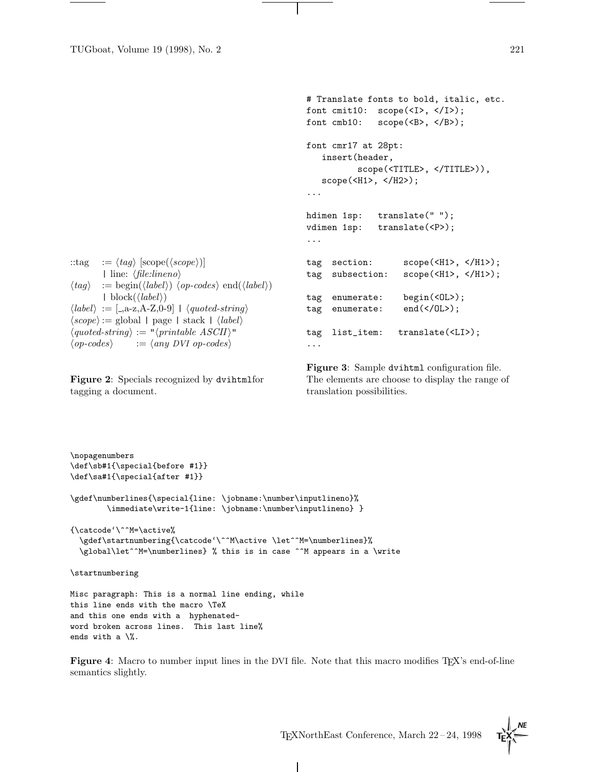```
::tag := \langle tag \rangle [scope(\langle scope \rangle]
          | line: \langle file: lineno \rangle\langle tag \rangle := \text{begin}(\langle label \rangle) \langle op-codes \rangle \text{end}(\langle label \rangle)| block(\langle label \rangle)\langle label \rangle := [-a-z,A-Z,0-9] + \langle quoted-string \rangle\langle scope \rangle := global | page | stack | \langle label \rangle\langle quoted\text{-string}\rangle := \langle optimal\text{-}BCII\rangle"<br>
\langle op\text{-}codes\rangle := \langle any\text{ }DVI\text{ }op\text{-}codes\rangle\mathcal{h} := \langle \text{any } DVI \text{ op-codes} \rangle# Translate fonts to bold, italic, etc.
                                                                          font cmit10: scope(<I>, </I>);
                                                                          font cmb10: scope(<B>, </B>);
                                                                         font cmr17 at 28pt:
                                                                              insert(header,
                                                                                         scope(<TITLE>, </TITLE>)),
                                                                              scope(<H1>, </H2>);
                                                                          ...
                                                                         hdimen 1sp: translate("");
                                                                          vdimen 1sp: translate(<P>);
                                                                          ...
                                                                          tag section: scope(<H1>, </H1>);
                                                                          tag subsection: scope(<H1>, </H1>);
                                                                          tag enumerate: begin(<OL>);
                                                                          tag enumerate: end(</OL>);
                                                                         tag list_item: translate(<LI>);
                                                                          ...
```
**Figure 2**: Specials recognized by dvihtmlfor tagging a document.

word broken across lines. This last line%

ends with a  $\sqrt{2}$ .

**Figure 3**: Sample dvihtml configuration file. The elements are choose to display the range of translation possibilities.

TEXNorthEast Conference, March 22–24, 1998

\nopagenumbers \def\sb#1{\special{before #1}} \def\sa#1{\special{after #1}} \gdef\numberlines{\special{line: \jobname:\number\inputlineno}% \immediate\write-1{line: \jobname:\number\inputlineno} } {\catcode'\^^M=\active% \gdef\startnumbering{\catcode'\^^M\active \let^^M=\numberlines}% \global\let^^M=\numberlines} % this is in case ^^M appears in a \write \startnumbering Misc paragraph: This is a normal line ending, while this line ends with the macro \TeX and this one ends with a hyphenated-

**Figure 4**: Macro to number input lines in the DVI file. Note that this macro modifies T<sub>E</sub>X's end-of-line semantics slightly.